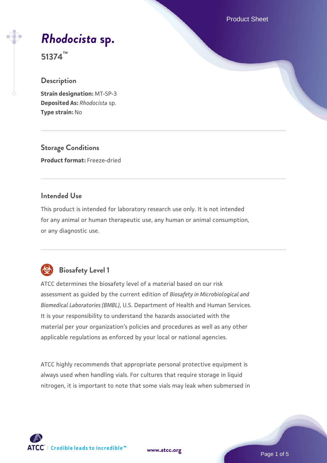Product Sheet

# *[Rhodocista](https://www.atcc.org/products/51374)* **[sp.](https://www.atcc.org/products/51374)**

**51374™**

### **Description**

**Strain designation:** MT-SP-3 **Deposited As:** *Rhodocista* sp. **Type strain:** No

**Storage Conditions Product format:** Freeze-dried

### **Intended Use**

This product is intended for laboratory research use only. It is not intended for any animal or human therapeutic use, any human or animal consumption, or any diagnostic use.



# **Biosafety Level 1**

ATCC determines the biosafety level of a material based on our risk assessment as guided by the current edition of *Biosafety in Microbiological and Biomedical Laboratories (BMBL)*, U.S. Department of Health and Human Services. It is your responsibility to understand the hazards associated with the material per your organization's policies and procedures as well as any other applicable regulations as enforced by your local or national agencies.

ATCC highly recommends that appropriate personal protective equipment is always used when handling vials. For cultures that require storage in liquid nitrogen, it is important to note that some vials may leak when submersed in

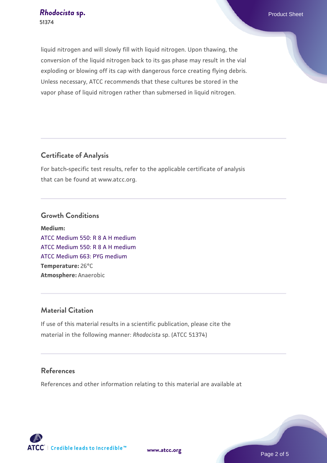liquid nitrogen and will slowly fill with liquid nitrogen. Upon thawing, the conversion of the liquid nitrogen back to its gas phase may result in the vial exploding or blowing off its cap with dangerous force creating flying debris. Unless necessary, ATCC recommends that these cultures be stored in the vapor phase of liquid nitrogen rather than submersed in liquid nitrogen.

### **Certificate of Analysis**

For batch-specific test results, refer to the applicable certificate of analysis that can be found at www.atcc.org.

#### **Growth Conditions**

**Medium:**  [ATCC Medium 550: R 8 A H medium](https://www.atcc.org/-/media/product-assets/documents/microbial-media-formulations/5/5/0/atcc-medium-550.pdf?rev=277c63d72c624a209f5db6c3a3216d20) [ATCC Medium 550: R 8 A H medium](https://www.atcc.org/-/media/product-assets/documents/microbial-media-formulations/5/5/0/atcc-medium-550.pdf?rev=277c63d72c624a209f5db6c3a3216d20) [ATCC Medium 663: PYG medium](https://www.atcc.org/-/media/product-assets/documents/microbial-media-formulations/6/6/3/atcc-medium-663.pdf?rev=39d2fb8d4f224afdb850fb1c1ce4c471) **Temperature:** 26°C **Atmosphere:** Anaerobic

### **Material Citation**

If use of this material results in a scientific publication, please cite the material in the following manner: *Rhodocista* sp. (ATCC 51374)

### **References**

References and other information relating to this material are available at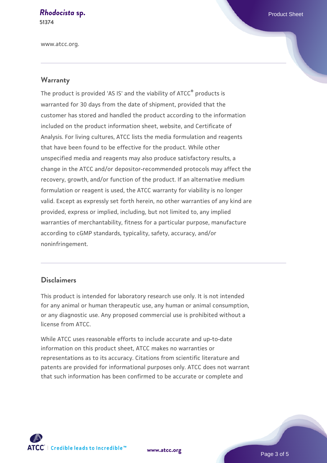# **[Rhodocista](https://www.atcc.org/products/51374) [sp.](https://www.atcc.org/products/51374)** Product Sheet

**51374**

www.atcc.org.

### **Warranty**

The product is provided 'AS IS' and the viability of ATCC® products is warranted for 30 days from the date of shipment, provided that the customer has stored and handled the product according to the information included on the product information sheet, website, and Certificate of Analysis. For living cultures, ATCC lists the media formulation and reagents that have been found to be effective for the product. While other unspecified media and reagents may also produce satisfactory results, a change in the ATCC and/or depositor-recommended protocols may affect the recovery, growth, and/or function of the product. If an alternative medium formulation or reagent is used, the ATCC warranty for viability is no longer valid. Except as expressly set forth herein, no other warranties of any kind are provided, express or implied, including, but not limited to, any implied warranties of merchantability, fitness for a particular purpose, manufacture according to cGMP standards, typicality, safety, accuracy, and/or noninfringement.

#### **Disclaimers**

This product is intended for laboratory research use only. It is not intended for any animal or human therapeutic use, any human or animal consumption, or any diagnostic use. Any proposed commercial use is prohibited without a license from ATCC.

While ATCC uses reasonable efforts to include accurate and up-to-date information on this product sheet, ATCC makes no warranties or representations as to its accuracy. Citations from scientific literature and patents are provided for informational purposes only. ATCC does not warrant that such information has been confirmed to be accurate or complete and



**[www.atcc.org](http://www.atcc.org)**

Page 3 of 5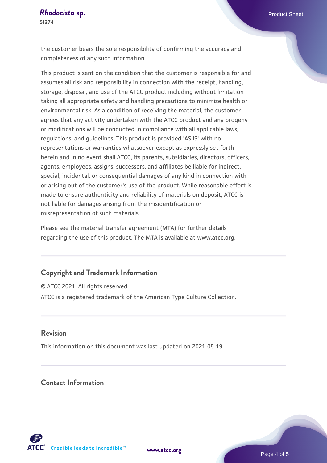the customer bears the sole responsibility of confirming the accuracy and completeness of any such information.

This product is sent on the condition that the customer is responsible for and assumes all risk and responsibility in connection with the receipt, handling, storage, disposal, and use of the ATCC product including without limitation taking all appropriate safety and handling precautions to minimize health or environmental risk. As a condition of receiving the material, the customer agrees that any activity undertaken with the ATCC product and any progeny or modifications will be conducted in compliance with all applicable laws, regulations, and guidelines. This product is provided 'AS IS' with no representations or warranties whatsoever except as expressly set forth herein and in no event shall ATCC, its parents, subsidiaries, directors, officers, agents, employees, assigns, successors, and affiliates be liable for indirect, special, incidental, or consequential damages of any kind in connection with or arising out of the customer's use of the product. While reasonable effort is made to ensure authenticity and reliability of materials on deposit, ATCC is not liable for damages arising from the misidentification or misrepresentation of such materials.

Please see the material transfer agreement (MTA) for further details regarding the use of this product. The MTA is available at www.atcc.org.

### **Copyright and Trademark Information**

© ATCC 2021. All rights reserved. ATCC is a registered trademark of the American Type Culture Collection.

#### **Revision**

This information on this document was last updated on 2021-05-19

### **Contact Information**



**[www.atcc.org](http://www.atcc.org)**